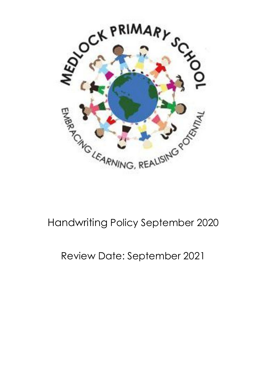

# Handwriting Policy September 2020

# Review Date: September 2021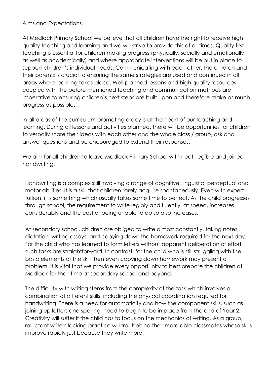#### Aims and Expectations.

At Medlock Primary School we believe that all children have the right to receive high quality teaching and learning and we will strive to provide this at all times. Quality first teaching is essential for children making progress (physically, socially and emotionally as well as academically) and where appropriate interventions will be put in place to support children's individual needs. Communicating with each other, the children and their parents is crucial to ensuring the same strategies are used and continued in all areas where learning takes place. Well planned lessons and high quality resources coupled with the before mentioned teaching and communication methods are imperative to ensuring children's next steps are built upon and therefore make as much progress as possible.

In all areas of the curriculum promoting oracy is at the heart of our teaching and learning. During all lessons and activities planned, there will be opportunities for children to verbally share their ideas with each other and the whole class / group, ask and answer questions and be encouraged to extend their responses.

We aim for all children to leave Medlock Primary School with neat, legible and joined handwriting.

Handwriting is a complex skill involving a range of cognitive, linguistic, perceptual and motor abilities. It is a skill that children rarely acquire spontaneously. Even with expert tuition, it is something which usually takes some time to perfect. As the child progresses through school, the requirement to write legibly and fluently, at speed, increases considerably and the cost of being unable to do so also increases.

At secondary school, children are obliged to write almost constantly, taking notes, dictation, writing essays, and copying down the homework required for the next day. For the child who has learned to form letters without apparent deliberation or effort, such tasks are straightforward. In contrast, for the child who is still struggling with the basic elements of the skill then even copying down homework may present a problem. It is vital that we provide every opportunity to best prepare the children at Medlock for their time at secondary school and beyond.

The difficulty with writing stems from the complexity of the task which involves a combination of different skills, including the physical coordination required for handwriting. There is a need for automaticity and how the component skills, such as joining up letters and spelling, need to begin to be in place from the end of Year 2. Creativity will suffer if the child has to focus on the mechanics of writing. As a group, reluctant writers lacking practice will trail behind their more able classmates whose skills improve rapidly just because they write more.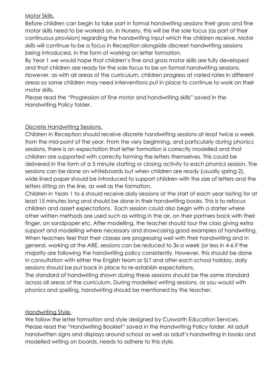### Motor Skills.

Before children can begin to take part in formal handwriting sessions their gross and fine motor skills need to be worked on. In Nursery, this will be the sole focus (as part of their continuous provision) regarding the handwriting input which the children receive. Motor skills will continue to be a focus in Reception alongside discreet handwriting sessions being introduced, in the form of working on letter formation.

By Year 1 we would hope that children's fine and gross motor skills are fully developed and that children are ready for the sole focus to be on formal handwriting sessions. However, as with all areas of the curriculum, children progress at varied rates in different areas so some children may need interventions put in place to continue to work on their motor skills.

Please read the "Progression of fine motor and handwriting skills" saved in the Handwriting Policy folder.

## Discrete Handwriting Sessions.

Children in Reception should receive discrete handwriting sessions at least twice a week from the mid-point of the year. From the very beginning, and particularly during phonics sessions, there is an expectation that letter formation is correctly modelled and that children are supported with correctly forming the letters themselves. This could be delivered in the form of a 5 minute starting or closing activity to each phonics session. The sessions can be done on whiteboards but when children are ready (usually spring 2), wide lined paper should be introduced to support children with the size of letters and the letters sitting on the line, as well as the formation.

Children in Years 1 to 6 should receive daily sessions at the start of each year lasting for at least 15 minutes long and should be done in their handwriting books. This is to refocus children and assert expectations. Each session could also begin with a starter where other written methods are used such as writing in the air, on their partners back with their finger, on sandpaper etc. After modelling, the teacher should tour the class giving extra support and modelling where necessary and showcasing good examples of handwriting. When teachers feel that their classes are progressing well with their handwriting and in general, working at the ARE, sessions can be reduced to 3x a week (or less in 4-6 if the majority are following the handwriting policy consistently. However, this should be done in consultation with either the English team or SLT and after each school holiday, daily sessions should be put back in place to re-establish expectations.

The standard of handwriting shown during these sessions should be the same standard across all areas of the curriculum. During modelled writing sessions, as you would with phonics and spelling, handwriting should be mentioned by the teacher.

### Handwriting Style.

We follow the letter formation and style designed by Cusworth Education Services. Please read the "Handwriting Booklet" saved in the Handwriting Policy folder. All adult handwritten signs and displays around school as well as adult's handwriting in books and modelled writing on boards, needs to adhere to this style.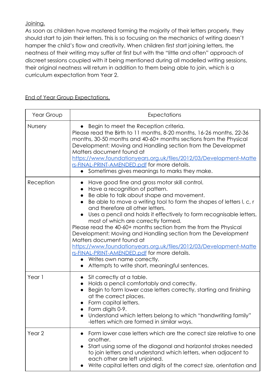Joining.

As soon as children have mastered forming the majority of their letters properly, they should start to join their letters. This is so focusing on the mechanics of writing doesn't hamper the child's flow and creativity. When children first start joining letters, the neatness of their writing may suffer at first but with the "little and often" approach of discreet sessions coupled with it being mentioned during all modelled writing sessions, their original neatness will return in addition to them being able to join, which is a curriculum expectation from Year 2.

End of Year Group Expectations.

| Year Group        | Expectations                                                                                                                                                                                                                                                                                                                                                                                                                                                                                                                                                                                                                                                                                                                                 |
|-------------------|----------------------------------------------------------------------------------------------------------------------------------------------------------------------------------------------------------------------------------------------------------------------------------------------------------------------------------------------------------------------------------------------------------------------------------------------------------------------------------------------------------------------------------------------------------------------------------------------------------------------------------------------------------------------------------------------------------------------------------------------|
| Nursery           | Begin to meet the Reception criteria.<br>Please read the Birth to 11 months, 8-20 months, 16-26 months, 22-36<br>months, 30-50 months and 40-60+ months sections from the Physical<br>Development: Moving and Handling section from the Developmet<br>Matters document found at<br>https://www.foundationyears.org.uk/files/2012/03/Development-Matte<br>rs-FINAL-PRINT-AMENDED.pdf for more details.<br>Sometimes gives meanings to marks they make.<br>$\bullet$                                                                                                                                                                                                                                                                           |
| Reception         | Have good fine and gross motor skill control.<br>Have a recognition of pattern.<br>Be able to talk about shape and movement.<br>$\bullet$<br>Be able to move a writing tool to form the shapes of letters I, c, r<br>and therefore all other letters.<br>Uses a pencil and holds it effectively to form recognisable letters,<br>most of which are correctly formed.<br>Please read the 40-60+ months section from the from the Physical<br>Development: Moving and Handling section from the Development<br>Matters document found at<br>https://www.foundationyears.org.uk/files/2012/03/Development-Matte<br>rs-FINAL-PRINT-AMENDED.pdf for more details.<br>Writes own name correctly.<br>Attempts to write short, meaningful sentences. |
| Year 1            | Sit correctly at a table.<br>Holds a pencil comfortably and correctly.<br>Begin to form lower case letters correctly, starting and finishing<br>at the correct places.<br>Form capital letters.<br>Form digits 0-9.<br>Understand which letters belong to which "handwriting family"<br>-letters which are formed in similar ways.                                                                                                                                                                                                                                                                                                                                                                                                           |
| Year <sub>2</sub> | Form lower case letters which are the correct size relative to one<br>another.<br>Start using some of the diagonal and horizontal strokes needed<br>to join letters and understand which letters, when adjacent to<br>each other are left unjoined.<br>Write capital letters and digits of the correct size, orientation and                                                                                                                                                                                                                                                                                                                                                                                                                 |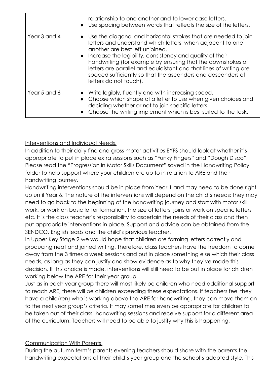|              | relationship to one another and to lower case letters.<br>• Use spacing between words that reflects the size of the letters.                                                                                                                                                                                                                                                                                                                                   |
|--------------|----------------------------------------------------------------------------------------------------------------------------------------------------------------------------------------------------------------------------------------------------------------------------------------------------------------------------------------------------------------------------------------------------------------------------------------------------------------|
| Year 3 and 4 | Use the diagonal and horizontal strokes that are needed to join<br>letters and understand which letters, when adjacent to one<br>another are best left unjoined.<br>• Increase the legibility, consistency and quality of their<br>handwriting (for example by ensuring that the downstrokes of<br>letters are parallel and equidistant and that lines of writing are<br>spaced sufficiently so that the ascenders and descenders of<br>letters do not touch). |
| Year 5 and 6 | Write legibly, fluently and with increasing speed.<br>Choose which shape of a letter to use when given choices and<br>deciding whether or not to join specific letters.<br>Choose the writing implement which is best suited to the task.                                                                                                                                                                                                                      |

## Interventions and Individual Needs.

In addition to their daily fine and gross motor activities EYFS should look at whether it's appropriate to put in place extra sessions such as "Funky Fingers" and "Dough Disco". Please read the "Progression in Motor Skills Document" saved in the Handwriting Policy folder to help support where your children are up to in relation to ARE and their handwriting journey.

Handwriting interventions should be in place from Year 1 and may need to be done right up until Year 6. The nature of the interventions will depend on the child's needs; they may need to go back to the beginning of the handwriting journey and start with motor skill work, or work on basic letter formation, the size of letters, joins or work on specific letters etc. It is the class teacher's responsibility to ascertain the needs of their class and then put appropriate interventions in place. Support and advice can be obtained from the SENDCO, English leads and the child's previous teacher.

In Upper Key Stage 2 we would hope that children are forming letters correctly and producing neat and joined writing. Therefore, class teachers have the freedom to come away from the 3 times a week sessions and put in place something else which their class needs, as long as they can justify and show evidence as to why they've made this decision. If this choice is made, interventions will still need to be put in place for children working below the ARE for their year group.

Just as in each year group there will most likely be children who need additional support to reach ARE, there will be children exceeding these expectations. If teachers feel they have a child(ren) who is working above the ARE for handwriting, they can move them on to the next year group's criteria. It may sometimes even be appropriate for children to be taken out of their class' handwriting sessions and receive support for a different area of the curriculum. Teachers will need to be able to justify why this is happening.

### Communication With Parents.

During the autumn term's parents evening teachers should share with the parents the handwriting expectations of their child's year group and the school's adopted style. This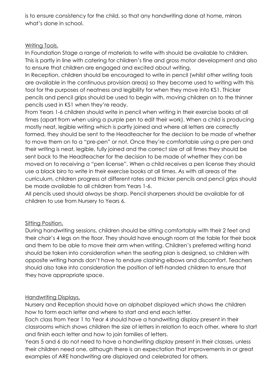is to ensure consistency for the child, so that any handwriting done at home, mirrors what's done in school.

## Writing Tools.

In Foundation Stage a range of materials to write with should be available to children. This is partly in line with catering for children's fine and gross motor development and also to ensure that children are engaged and excited about writing.

In Reception, children should be encouraged to write in pencil (whilst other writing tools are available in the continuous provision areas) so they become used to writing with this tool for the purposes of neatness and legibility for when they move into KS1. Thicker pencils and pencil grips should be used to begin with, moving children on to the thinner pencils used in KS1 when they're ready.

From Years 1-6 children should write in pencil when writing in their exercise books at all times (apart from when using a purple pen to edit their work). When a child is producing mostly neat, legible writing which is partly joined and where all letters are correctly formed, they should be sent to the Headteacher for the decision to be made of whether to move them on to a "pre-pen" or not. Once they're comfortable using a pre pen and their writing is neat, legible, fully joined and the correct size at all times they should be sent back to the Headteacher for the decision to be made of whether they can be moved on to receiving a "pen license". When a child receives a pen license they should use a black biro to write in their exercise books at all times. As with all areas of the curriculum, children progress at different rates and thicker pencils and pencil grips should be made available to all children from Years 1-6.

All pencils used should always be sharp. Pencil sharpeners should be available for all children to use from Nursery to Years 6.

# Sitting Position.

During handwriting sessions, children should be sitting comfortably with their 2 feet and their chair's 4 legs on the floor. They should have enough room at the table for their book and them to be able to move their arm when writing. Children's preferred writing hand should be taken into consideration when the seating plan is designed, so children with opposite writing hands don't have to endure clashing elbows and discomfort. Teachers should also take into consideration the position of left-handed children to ensure that they have appropriate space.

# Handwriting Displays.

Nursery and Reception should have an alphabet displayed which shows the children how to form each letter and where to start and end each letter.

Each class from Year 1 to Year 4 should have a handwriting display present in their classrooms which shows children the size of letters in relation to each other, where to start and finish each letter and how to join families of letters.

Years 5 and 6 do not need to have a handwriting display present in their classes, unless their children need one, although there is an expectation that improvements in or great examples of ARE handwriting are displayed and celebrated for others.